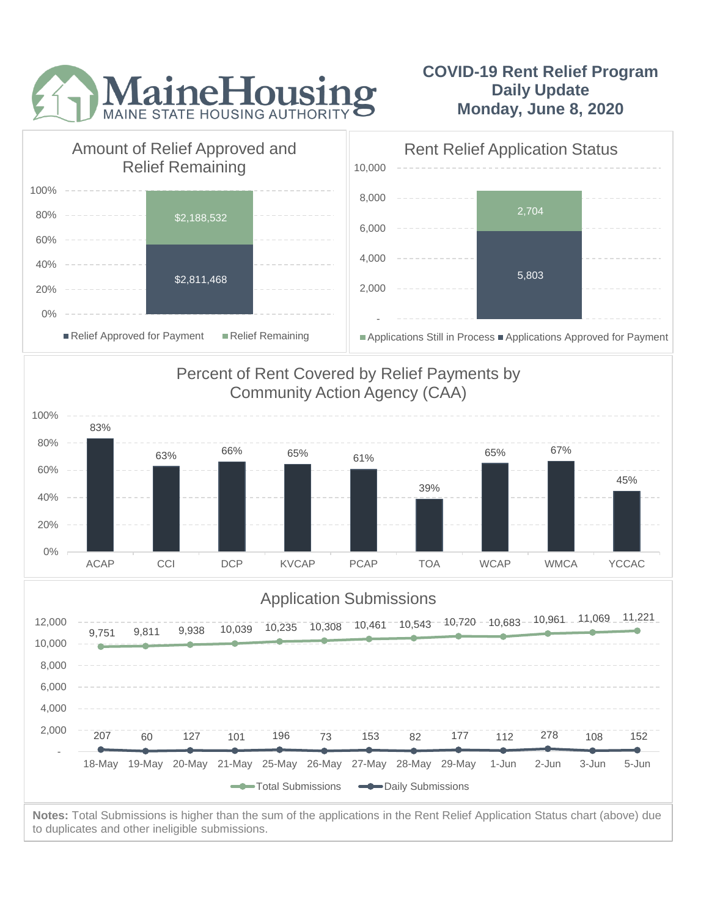

## **COVID-19 Rent Relief Program Daily Update Monday, June 8, 2020**



to duplicates and other ineligible submissions.